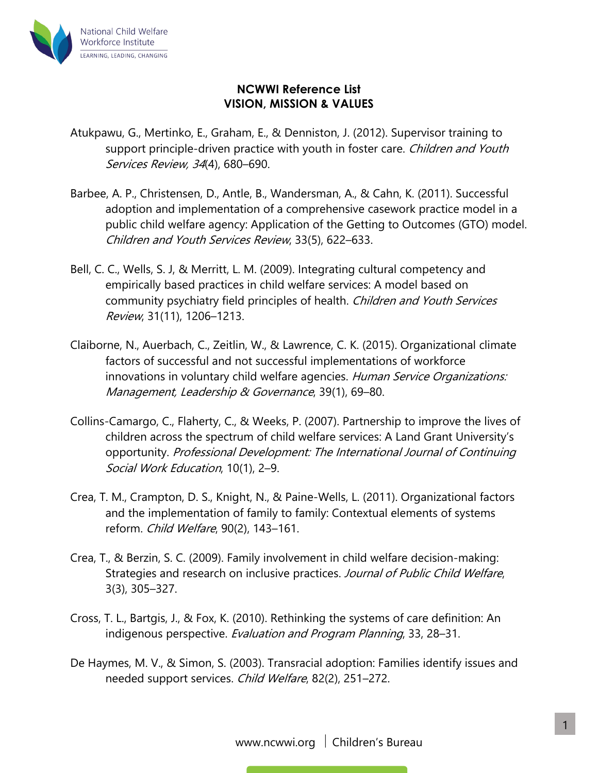

## **NCWWI Reference List VISION, MISSION & VALUES**

- Atukpawu, G., Mertinko, E., Graham, E., & Denniston, J. (2012). Supervisor training to support principle-driven practice with youth in foster care. Children and Youth Services Review, 34(4), 680–690.
- Barbee, A. P., Christensen, D., Antle, B., Wandersman, A., & Cahn, K. (2011). Successful adoption and implementation of a comprehensive casework practice model in a public child welfare agency: Application of the Getting to Outcomes (GTO) model. Children and Youth Services Review, 33(5), 622–633.
- Bell, C. C., Wells, S. J, & Merritt, L. M. (2009). Integrating cultural competency and empirically based practices in child welfare services: A model based on community psychiatry field principles of health. Children and Youth Services Review, 31(11), 1206–1213.
- Claiborne, N., Auerbach, C., Zeitlin, W., & Lawrence, C. K. (2015). Organizational climate factors of successful and not successful implementations of workforce innovations in voluntary child welfare agencies. Human Service Organizations: Management, Leadership & Governance, 39(1), 69-80.
- Collins-Camargo, C., Flaherty, C., & Weeks, P. (2007). Partnership to improve the lives of children across the spectrum of child welfare services: A Land Grant University's opportunity. Professional Development: The International Journal of Continuing Social Work Education, 10(1), 2–9.
- Crea, T. M., Crampton, D. S., Knight, N., & Paine-Wells, L. (2011). Organizational factors and the implementation of family to family: Contextual elements of systems reform. Child Welfare, 90(2), 143–161.
- Crea, T., & Berzin, S. C. (2009). Family involvement in child welfare decision-making: Strategies and research on inclusive practices. Journal of Public Child Welfare, 3(3), 305–327.
- Cross, T. L., Bartgis, J., & Fox, K. (2010). Rethinking the systems of care definition: An indigenous perspective. Evaluation and Program Planning, 33, 28–31.
- De Haymes, M. V., & Simon, S. (2003). Transracial adoption: Families identify issues and needed support services. Child Welfare, 82(2), 251–272.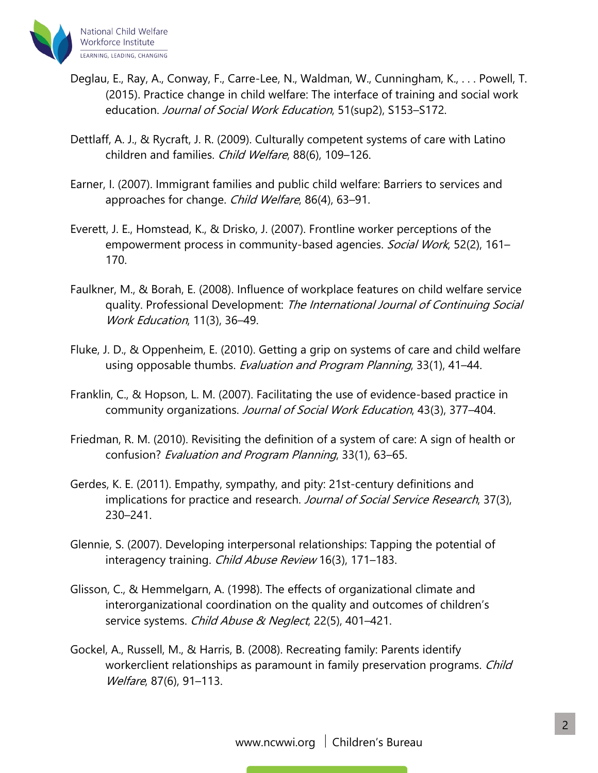

- Deglau, E., Ray, A., Conway, F., Carre-Lee, N., Waldman, W., Cunningham, K., . . . Powell, T. (2015). Practice change in child welfare: The interface of training and social work education. Journal of Social Work Education, 51(sup2), S153-S172.
- Dettlaff, A. J., & Rycraft, J. R. (2009). Culturally competent systems of care with Latino children and families. Child Welfare, 88(6), 109-126.
- Earner, I. (2007). Immigrant families and public child welfare: Barriers to services and approaches for change. Child Welfare, 86(4), 63-91.
- Everett, J. E., Homstead, K., & Drisko, J. (2007). Frontline worker perceptions of the empowerment process in community-based agencies. Social Work, 52(2), 161-170.
- Faulkner, M., & Borah, E. (2008). Influence of workplace features on child welfare service quality. Professional Development: The International Journal of Continuing Social Work Education, 11(3), 36–49.
- Fluke, J. D., & Oppenheim, E. (2010). Getting a grip on systems of care and child welfare using opposable thumbs. Evaluation and Program Planning, 33(1), 41–44.
- Franklin, C., & Hopson, L. M. (2007). Facilitating the use of evidence-based practice in community organizations. Journal of Social Work Education, 43(3), 377–404.
- Friedman, R. M. (2010). Revisiting the definition of a system of care: A sign of health or confusion? Evaluation and Program Planning, 33(1), 63–65.
- Gerdes, K. E. (2011). Empathy, sympathy, and pity: 21st-century definitions and implications for practice and research. Journal of Social Service Research, 37(3), 230–241.
- Glennie, S. (2007). Developing interpersonal relationships: Tapping the potential of interagency training. Child Abuse Review 16(3), 171-183.
- Glisson, C., & Hemmelgarn, A. (1998). The effects of organizational climate and interorganizational coordination on the quality and outcomes of children's service systems. Child Abuse & Neglect, 22(5), 401-421.
- Gockel, A., Russell, M., & Harris, B. (2008). Recreating family: Parents identify workerclient relationships as paramount in family preservation programs. Child Welfare, 87(6), 91-113.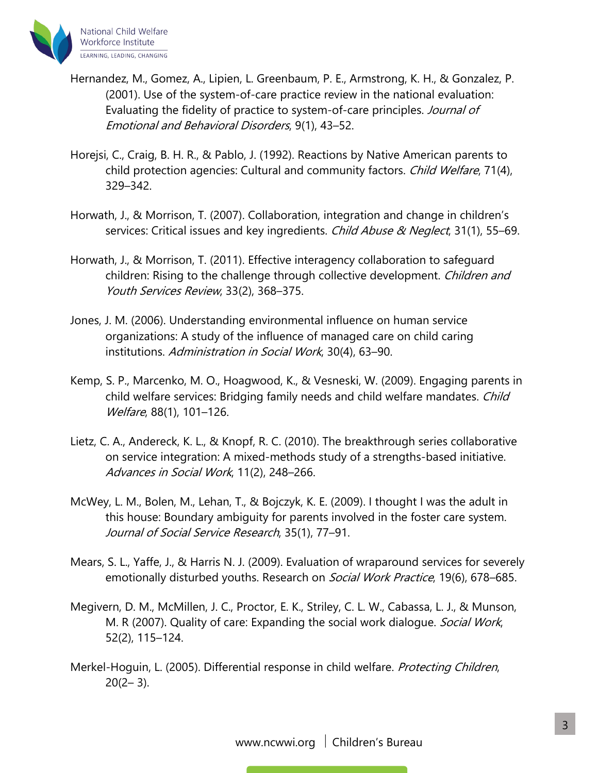

- Hernandez, M., Gomez, A., Lipien, L. Greenbaum, P. E., Armstrong, K. H., & Gonzalez, P. (2001). Use of the system-of-care practice review in the national evaluation: Evaluating the fidelity of practice to system-of-care principles. Journal of Emotional and Behavioral Disorders, 9(1), 43–52.
- Horejsi, C., Craig, B. H. R., & Pablo, J. (1992). Reactions by Native American parents to child protection agencies: Cultural and community factors. Child Welfare, 71(4), 329–342.
- Horwath, J., & Morrison, T. (2007). Collaboration, integration and change in children's services: Critical issues and key ingredients. *Child Abuse & Neglect*, 31(1), 55–69.
- Horwath, J., & Morrison, T. (2011). Effective interagency collaboration to safeguard children: Rising to the challenge through collective development. Children and Youth Services Review, 33(2), 368–375.
- Jones, J. M. (2006). Understanding environmental influence on human service organizations: A study of the influence of managed care on child caring institutions. Administration in Social Work, 30(4), 63–90.
- Kemp, S. P., Marcenko, M. O., Hoagwood, K., & Vesneski, W. (2009). Engaging parents in child welfare services: Bridging family needs and child welfare mandates. Child Welfare, 88(1), 101–126.
- Lietz, C. A., Andereck, K. L., & Knopf, R. C. (2010). The breakthrough series collaborative on service integration: A mixed-methods study of a strengths-based initiative. Advances in Social Work, 11(2), 248–266.
- McWey, L. M., Bolen, M., Lehan, T., & Bojczyk, K. E. (2009). I thought I was the adult in this house: Boundary ambiguity for parents involved in the foster care system. Journal of Social Service Research, 35(1), 77–91.
- Mears, S. L., Yaffe, J., & Harris N. J. (2009). Evaluation of wraparound services for severely emotionally disturbed youths. Research on *Social Work Practice*, 19(6), 678–685.
- Megivern, D. M., McMillen, J. C., Proctor, E. K., Striley, C. L. W., Cabassa, L. J., & Munson, M. R (2007). Quality of care: Expanding the social work dialogue. Social Work, 52(2), 115–124.
- Merkel-Hoguin, L. (2005). Differential response in child welfare. Protecting Children,  $20(2-3)$ .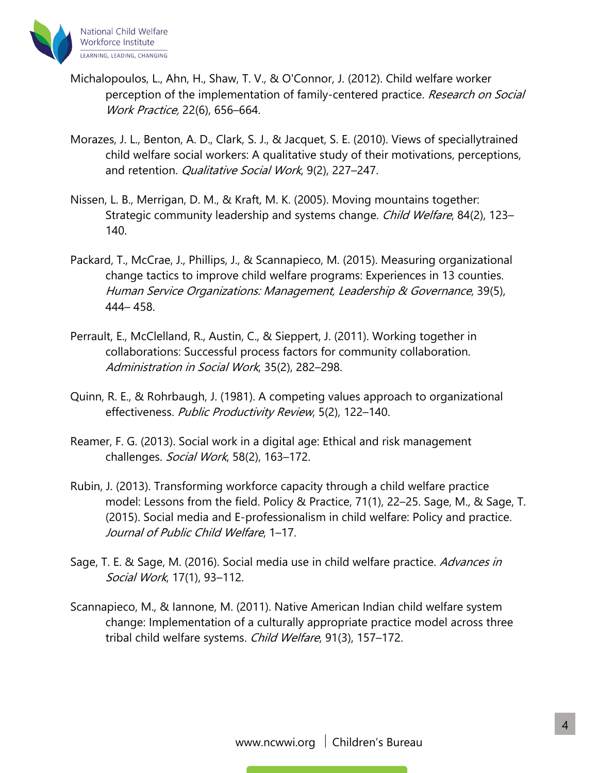

- Michalopoulos, L., Ahn, H., Shaw, T. V., & O'Connor, J. (2012). Child welfare worker perception of the implementation of family-centered practice. Research on Social Work Practice, 22(6), 656–664.
- Morazes, J. L., Benton, A. D., Clark, S. J., & Jacquet, S. E. (2010). Views of speciallytrained child welfare social workers: A qualitative study of their motivations, perceptions, and retention. Qualitative Social Work, 9(2), 227-247.
- Nissen, L. B., Merrigan, D. M., & Kraft, M. K. (2005). Moving mountains together: Strategic community leadership and systems change. Child Welfare, 84(2), 123– 140.
- Packard, T., McCrae, J., Phillips, J., & Scannapieco, M. (2015). Measuring organizational change tactics to improve child welfare programs: Experiences in 13 counties. Human Service Organizations: Management, Leadership & Governance, 39(5), 444– 458.
- Perrault, E., McClelland, R., Austin, C., & Sieppert, J. (2011). Working together in collaborations: Successful process factors for community collaboration. Administration in Social Work, 35(2), 282–298.
- Quinn, R. E., & Rohrbaugh, J. (1981). A competing values approach to organizational effectiveness. Public Productivity Review, 5(2), 122-140.
- Reamer, F. G. (2013). Social work in a digital age: Ethical and risk management challenges. Social Work, 58(2), 163-172.
- Rubin, J. (2013). Transforming workforce capacity through a child welfare practice model: Lessons from the field. Policy & Practice, 71(1), 22–25. Sage, M., & Sage, T. (2015). Social media and E-professionalism in child welfare: Policy and practice. Journal of Public Child Welfare, 1–17.
- Sage, T. E. & Sage, M. (2016). Social media use in child welfare practice. Advances in Social Work, 17(1), 93–112.
- Scannapieco, M., & Iannone, M. (2011). Native American Indian child welfare system change: Implementation of a culturally appropriate practice model across three tribal child welfare systems. Child Welfare, 91(3), 157–172.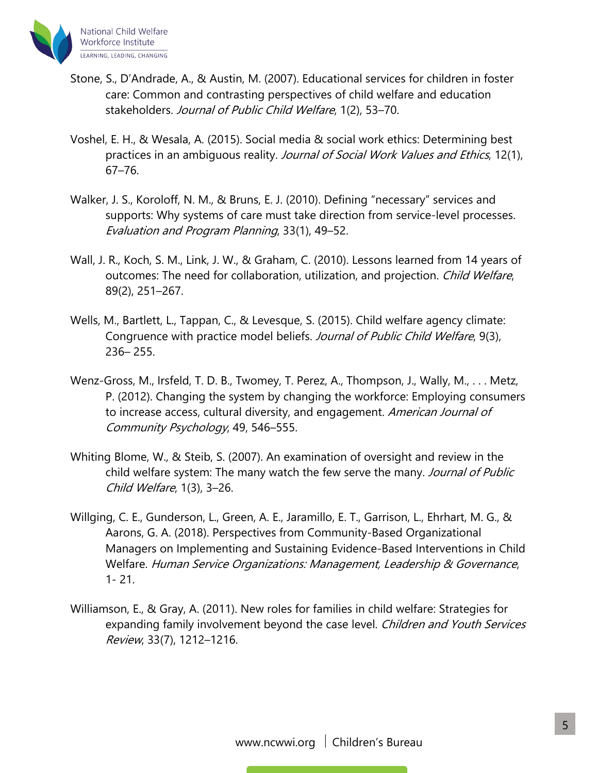

- Stone, S., D'Andrade, A., & Austin, M. (2007). Educational services for children in foster care: Common and contrasting perspectives of child welfare and education stakeholders. Journal of Public Child Welfare, 1(2), 53–70.
- Voshel, E. H., & Wesala, A. (2015). Social media & social work ethics: Determining best practices in an ambiguous reality. Journal of Social Work Values and Ethics, 12(1), 67–76.
- Walker, J. S., Koroloff, N. M., & Bruns, E. J. (2010). Defining "necessary" services and supports: Why systems of care must take direction from service-level processes. Evaluation and Program Planning, 33(1), 49–52.
- Wall, J. R., Koch, S. M., Link, J. W., & Graham, C. (2010). Lessons learned from 14 years of outcomes: The need for collaboration, utilization, and projection. Child Welfare, 89(2), 251–267.
- Wells, M., Bartlett, L., Tappan, C., & Levesque, S. (2015). Child welfare agency climate: Congruence with practice model beliefs. Journal of Public Child Welfare, 9(3), 236– 255.
- Wenz-Gross, M., Irsfeld, T. D. B., Twomey, T. Perez, A., Thompson, J., Wally, M., . . . Metz, P. (2012). Changing the system by changing the workforce: Employing consumers to increase access, cultural diversity, and engagement. American Journal of Community Psychology, 49, 546–555.
- Whiting Blome, W., & Steib, S. (2007). An examination of oversight and review in the child welfare system: The many watch the few serve the many. Journal of Public Child Welfare, 1(3), 3–26.
- Willging, C. E., Gunderson, L., Green, A. E., Jaramillo, E. T., Garrison, L., Ehrhart, M. G., & Aarons, G. A. (2018). Perspectives from Community-Based Organizational Managers on Implementing and Sustaining Evidence-Based Interventions in Child Welfare. Human Service Organizations: Management, Leadership & Governance, 1- 21.
- Williamson, E., & Gray, A. (2011). New roles for families in child welfare: Strategies for expanding family involvement beyond the case level. Children and Youth Services Review, 33(7), 1212–1216.